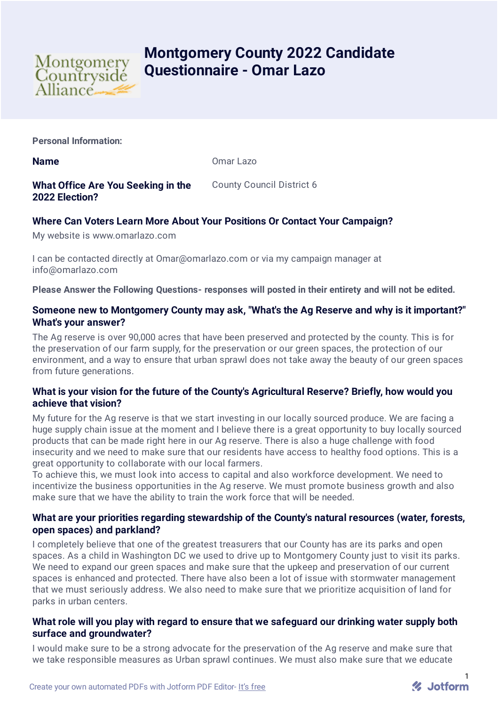

# **Montgomery County 2022 Candidate Questionnaire - Omar Lazo**

**Personal Information:**

**Name** Omar Lazo

# **What Office Are You Seeking in the 2022 Election?**

County Council District 6

# **Where Can Voters Learn More About Your Positions Or Contact Your Campaign?**

My website is www.omarlazo.com

I can be contacted directly at Omar@omarlazo.com or via my campaign manager at info@omarlazo.com

**Please Answer the Following Questions- responses will posted in their entirety and will not be edited.**

# **Someone new to Montgomery County may ask, "What's the Ag Reserve and why is it important?" What's your answer?**

The Ag reserve is over 90,000 acres that have been preserved and protected by the county. This is for the preservation of our farm supply, for the preservation or our green spaces, the protection of our environment, and a way to ensure that urban sprawl does not take away the beauty of our green spaces from future generations.

# **What is your vision for the future of the County's Agricultural Reserve? Briefly, how would you achieve that vision?**

My future for the Ag reserve is that we start investing in our locally sourced produce. We are facing a huge supply chain issue at the moment and I believe there is a great opportunity to buy locally sourced products that can be made right here in our Ag reserve. There is also a huge challenge with food insecurity and we need to make sure that our residents have access to healthy food options. This is a great opportunity to collaborate with our local farmers.

To achieve this, we must look into access to capital and also workforce development. We need to incentivize the business opportunities in the Ag reserve. We must promote business growth and also make sure that we have the ability to train the work force that will be needed.

# **What are your priorities regarding stewardship of the County's natural resources (water, forests, open spaces) and parkland?**

I completely believe that one of the greatest treasurers that our County has are its parks and open spaces. As a child in Washington DC we used to drive up to Montgomery County just to visit its parks. We need to expand our green spaces and make sure that the upkeep and preservation of our current spaces is enhanced and protected. There have also been a lot of issue with stormwater management that we must seriously address. We also need to make sure that we prioritize acquisition of land for parks in urban centers.

# **What role will you play with regard to ensure that we safeguard our drinking water supply both surface and groundwater?**

I would make sure to be a strong advocate for the preservation of the Ag reserve and make sure that we take responsible measures as Urban sprawl continues. We must also make sure that we educate